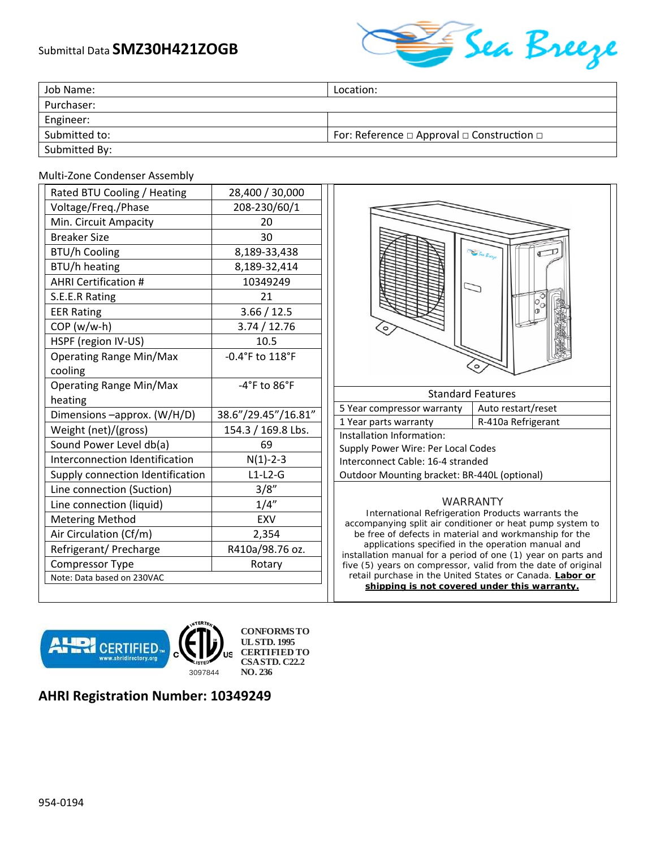## Submittal Data **SMZ30H421ZOGB**



| Job Name:     | Location:                                                 |
|---------------|-----------------------------------------------------------|
| Purchaser:    |                                                           |
| Engineer:     |                                                           |
| Submitted to: | For: Reference $\Box$ Approval $\Box$ Construction $\Box$ |
| Submitted By: |                                                           |

## Multi‐Zone Condenser Assembly

| Rated BTU Cooling / Heating      | 28,400 / 30,000                  |
|----------------------------------|----------------------------------|
| Voltage/Freq./Phase              | 208-230/60/1                     |
| Min. Circuit Ampacity            | 20                               |
| <b>Breaker Size</b>              | 30                               |
| <b>BTU/h Cooling</b>             | 8,189-33,438                     |
| BTU/h heating                    | 8,189-32,414                     |
| <b>AHRI Certification #</b>      | 10349249                         |
| S.E.E.R Rating                   | 21                               |
| <b>EER Rating</b>                | 3.66 / 12.5                      |
| $COP(w/w-h)$                     | 3.74 / 12.76                     |
| HSPF (region IV-US)              | 10.5                             |
| <b>Operating Range Min/Max</b>   | -0.4°F to 118°F                  |
| cooling                          |                                  |
| <b>Operating Range Min/Max</b>   | $-4^{\circ}$ F to $86^{\circ}$ F |
| heating                          |                                  |
| Dimensions -approx. (W/H/D)      | 38.6"/29.45"/16.81"              |
| Weight (net)/(gross)             | 154.3 / 169.8 Lbs.               |
| Sound Power Level db(a)          | 69                               |
| Interconnection Identification   | $N(1) - 2 - 3$                   |
| Supply connection Identification | $L1-L2-G$                        |
| Line connection (Suction)        | 3/8''                            |
| Line connection (liquid)         | 1/4"                             |
| <b>Metering Method</b>           | EXV                              |
| Air Circulation (Cf/m)           | 2,354                            |
| Refrigerant/ Precharge           | R410a/98.76 oz.                  |
| <b>Compressor Type</b>           | Rotary                           |
| Note: Data based on 230VAC       |                                  |



installation manual for a period of one (1) year on parts and five (5) years on compressor, valid from the date of original retail purchase in the United States or Canada. **Labor or** 

**shipping is not covered under this warranty.** 



**CONFORMS TO UL STD. 1995 CERTIFIED TO CSA STD. C22.2 NO. 236**

## **AHRI Registration Number: 10349249**